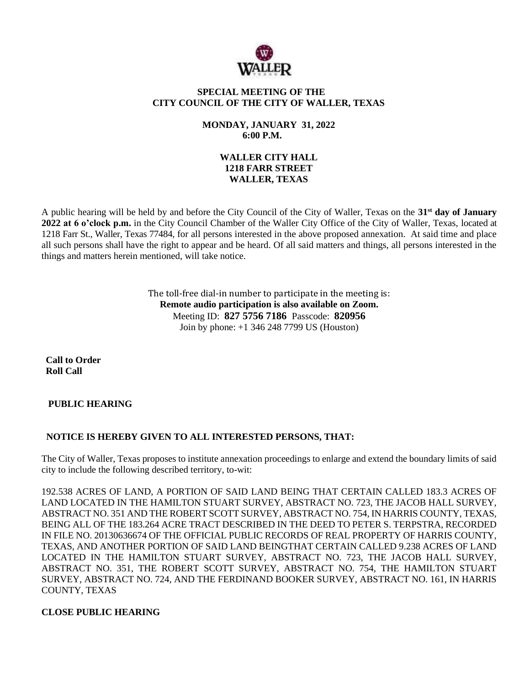

### **SPECIAL MEETING OF THE CITY COUNCIL OF THE CITY OF WALLER, TEXAS**

### **MONDAY, JANUARY 31, 2022 6:00 P.M.**

### **WALLER CITY HALL 1218 FARR STREET WALLER, TEXAS**

A public hearing will be held by and before the City Council of the City of Waller, Texas on the **31st day of January 2022 at 6 o'clock p.m.** in the City Council Chamber of the Waller City Office of the City of Waller, Texas, located at 1218 Farr St., Waller, Texas 77484, for all persons interested in the above proposed annexation. At said time and place all such persons shall have the right to appear and be heard. Of all said matters and things, all persons interested in the things and matters herein mentioned, will take notice.

> The toll-free dial-in number to participate in the meeting is: **Remote audio participation is also available on Zoom.** Meeting ID: **827 5756 7186** Passcode: **820956** Join by phone: +1 346 248 7799 US (Houston)

**Call to Order Roll Call**

# **PUBLIC HEARING**

# **NOTICE IS HEREBY GIVEN TO ALL INTERESTED PERSONS, THAT:**

The City of Waller, Texas proposes to institute annexation proceedings to enlarge and extend the boundary limits of said city to include the following described territory, to-wit:

192.538 ACRES OF LAND, A PORTION OF SAID LAND BEING THAT CERTAIN CALLED 183.3 ACRES OF LAND LOCATED IN THE HAMILTON STUART SURVEY, ABSTRACT NO. 723, THE JACOB HALL SURVEY, ABSTRACT NO. 351 AND THE ROBERT SCOTT SURVEY, ABSTRACT NO. 754, IN HARRIS COUNTY, TEXAS, BEING ALL OF THE 183.264 ACRE TRACT DESCRIBED IN THE DEED TO PETER S. TERPSTRA, RECORDED IN FILE NO. 20130636674 OF THE OFFICIAL PUBLIC RECORDS OF REAL PROPERTY OF HARRIS COUNTY, TEXAS, AND ANOTHER PORTION OF SAID LAND BEINGTHAT CERTAIN CALLED 9.238 ACRES OF LAND LOCATED IN THE HAMILTON STUART SURVEY, ABSTRACT NO. 723, THE JACOB HALL SURVEY, ABSTRACT NO. 351, THE ROBERT SCOTT SURVEY, ABSTRACT NO. 754, THE HAMILTON STUART SURVEY, ABSTRACT NO. 724, AND THE FERDINAND BOOKER SURVEY, ABSTRACT NO. 161, IN HARRIS COUNTY, TEXAS

# **CLOSE PUBLIC HEARING**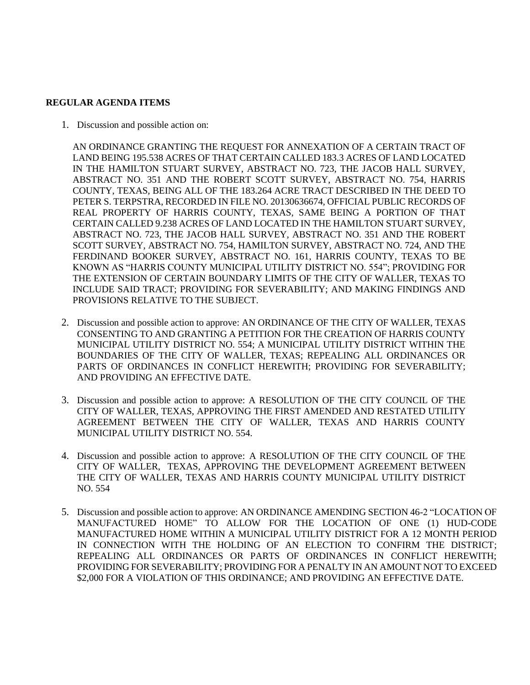#### **REGULAR AGENDA ITEMS**

1. Discussion and possible action on:

AN ORDINANCE GRANTING THE REQUEST FOR ANNEXATION OF A CERTAIN TRACT OF LAND BEING 195.538 ACRES OF THAT CERTAIN CALLED 183.3 ACRES OF LAND LOCATED IN THE HAMILTON STUART SURVEY, ABSTRACT NO. 723, THE JACOB HALL SURVEY, ABSTRACT NO. 351 AND THE ROBERT SCOTT SURVEY, ABSTRACT NO. 754, HARRIS COUNTY, TEXAS, BEING ALL OF THE 183.264 ACRE TRACT DESCRIBED IN THE DEED TO PETER S. TERPSTRA, RECORDED IN FILE NO. 20130636674, OFFICIAL PUBLIC RECORDS OF REAL PROPERTY OF HARRIS COUNTY, TEXAS, SAME BEING A PORTION OF THAT CERTAIN CALLED 9.238 ACRES OF LAND LOCATED IN THE HAMILTON STUART SURVEY, ABSTRACT NO. 723, THE JACOB HALL SURVEY, ABSTRACT NO. 351 AND THE ROBERT SCOTT SURVEY, ABSTRACT NO. 754, HAMILTON SURVEY, ABSTRACT NO. 724, AND THE FERDINAND BOOKER SURVEY, ABSTRACT NO. 161, HARRIS COUNTY, TEXAS TO BE KNOWN AS "HARRIS COUNTY MUNICIPAL UTILITY DISTRICT NO. 554"; PROVIDING FOR THE EXTENSION OF CERTAIN BOUNDARY LIMITS OF THE CITY OF WALLER, TEXAS TO INCLUDE SAID TRACT; PROVIDING FOR SEVERABILITY; AND MAKING FINDINGS AND PROVISIONS RELATIVE TO THE SUBJECT.

- 2. Discussion and possible action to approve: AN ORDINANCE OF THE CITY OF WALLER, TEXAS CONSENTING TO AND GRANTING A PETITION FOR THE CREATION OF HARRIS COUNTY MUNICIPAL UTILITY DISTRICT NO. 554; A MUNICIPAL UTILITY DISTRICT WITHIN THE BOUNDARIES OF THE CITY OF WALLER, TEXAS; REPEALING ALL ORDINANCES OR PARTS OF ORDINANCES IN CONFLICT HEREWITH; PROVIDING FOR SEVERABILITY; AND PROVIDING AN EFFECTIVE DATE.
- 3. Discussion and possible action to approve: A RESOLUTION OF THE CITY COUNCIL OF THE CITY OF WALLER, TEXAS, APPROVING THE FIRST AMENDED AND RESTATED UTILITY AGREEMENT BETWEEN THE CITY OF WALLER, TEXAS AND HARRIS COUNTY MUNICIPAL UTILITY DISTRICT NO. 554.
- 4. Discussion and possible action to approve: A RESOLUTION OF THE CITY COUNCIL OF THE CITY OF WALLER, TEXAS, APPROVING THE DEVELOPMENT AGREEMENT BETWEEN THE CITY OF WALLER, TEXAS AND HARRIS COUNTY MUNICIPAL UTILITY DISTRICT NO. 554
- 5. Discussion and possible action to approve: AN ORDINANCE AMENDING SECTION 46-2 "LOCATION OF MANUFACTURED HOME" TO ALLOW FOR THE LOCATION OF ONE (1) HUD-CODE MANUFACTURED HOME WITHIN A MUNICIPAL UTILITY DISTRICT FOR A 12 MONTH PERIOD IN CONNECTION WITH THE HOLDING OF AN ELECTION TO CONFIRM THE DISTRICT; REPEALING ALL ORDINANCES OR PARTS OF ORDINANCES IN CONFLICT HEREWITH; PROVIDING FOR SEVERABILITY; PROVIDING FOR A PENALTY IN AN AMOUNT NOT TO EXCEED \$2,000 FOR A VIOLATION OF THIS ORDINANCE; AND PROVIDING AN EFFECTIVE DATE.